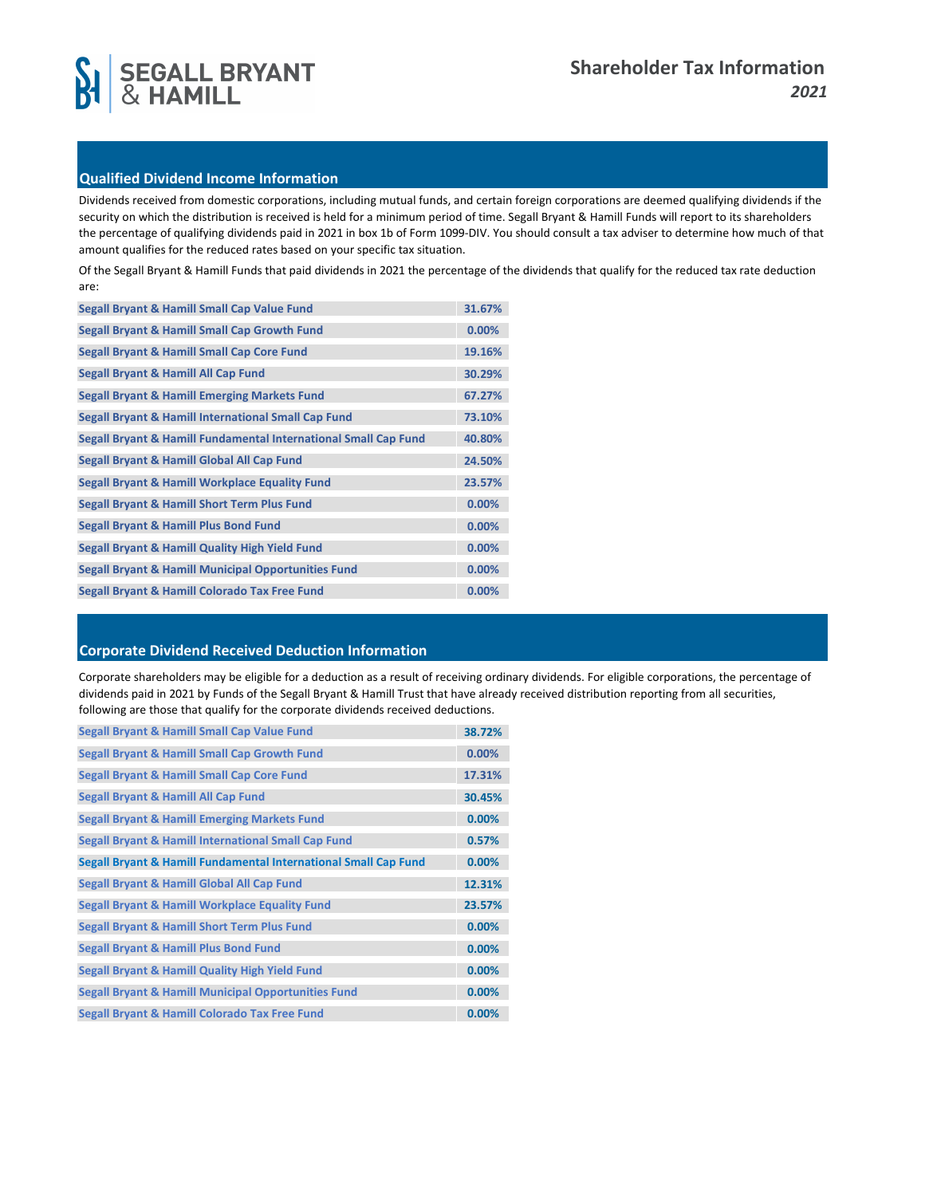



# **Qualified Dividend Income Information**

Dividends received from domestic corporations, including mutual funds, and certain foreign corporations are deemed qualifying dividends if the security on which the distribution is received is held for a minimum period of time. Segall Bryant & Hamill Funds will report to its shareholders the percentage of qualifying dividends paid in 2021 in box 1b of Form 1099-DIV. You should consult a tax adviser to determine how much of that amount qualifies for the reduced rates based on your specific tax situation.

Of the Segall Bryant & Hamill Funds that paid dividends in 2021 the percentage of the dividends that qualify for the reduced tax rate deduction are:

| Segall Bryant & Hamill Small Cap Value Fund                     | 31.67% |
|-----------------------------------------------------------------|--------|
| <b>Segall Bryant &amp; Hamill Small Cap Growth Fund</b>         | 0.00%  |
| <b>Segall Bryant &amp; Hamill Small Cap Core Fund</b>           | 19.16% |
| Segall Bryant & Hamill All Cap Fund                             | 30.29% |
| <b>Segall Bryant &amp; Hamill Emerging Markets Fund</b>         | 67.27% |
| Segall Bryant & Hamill International Small Cap Fund             | 73.10% |
| Segall Bryant & Hamill Fundamental International Small Cap Fund | 40.80% |
| Segall Bryant & Hamill Global All Cap Fund                      | 24.50% |
| Segall Bryant & Hamill Workplace Equality Fund                  | 23.57% |
| <b>Segall Bryant &amp; Hamill Short Term Plus Fund</b>          | 0.00%  |
| <b>Segall Bryant &amp; Hamill Plus Bond Fund</b>                | 0.00%  |
| <b>Segall Bryant &amp; Hamill Quality High Yield Fund</b>       | 0.00%  |
| <b>Segall Bryant &amp; Hamill Municipal Opportunities Fund</b>  | 0.00%  |
| Segall Bryant & Hamill Colorado Tax Free Fund                   | 0.00%  |

# **Corporate Dividend Received Deduction Information**

Corporate shareholders may be eligible for a deduction as a result of receiving ordinary dividends. For eligible corporations, the percentage of dividends paid in 2021 by Funds of the Segall Bryant & Hamill Trust that have already received distribution reporting from all securities, following are those that qualify for the corporate dividends received deductions.

| <b>Segall Bryant &amp; Hamill Small Cap Value Fund</b>          | 38.72% |
|-----------------------------------------------------------------|--------|
| <b>Segall Bryant &amp; Hamill Small Cap Growth Fund</b>         | 0.00%  |
| <b>Segall Bryant &amp; Hamill Small Cap Core Fund</b>           | 17.31% |
| Segall Bryant & Hamill All Cap Fund                             | 30.45% |
| <b>Segall Bryant &amp; Hamill Emerging Markets Fund</b>         | 0.00%  |
| Segall Bryant & Hamill International Small Cap Fund             | 0.57%  |
| Segall Bryant & Hamill Fundamental International Small Cap Fund | 0.00%  |
| Segall Bryant & Hamill Global All Cap Fund                      | 12.31% |
| Segall Bryant & Hamill Workplace Equality Fund                  | 23.57% |
|                                                                 |        |
| <b>Segall Bryant &amp; Hamill Short Term Plus Fund</b>          | 0.00%  |
| <b>Segall Bryant &amp; Hamill Plus Bond Fund</b>                | 0.00%  |
| Segall Bryant & Hamill Quality High Yield Fund                  | 0.00%  |
| <b>Segall Bryant &amp; Hamill Municipal Opportunities Fund</b>  | 0.00%  |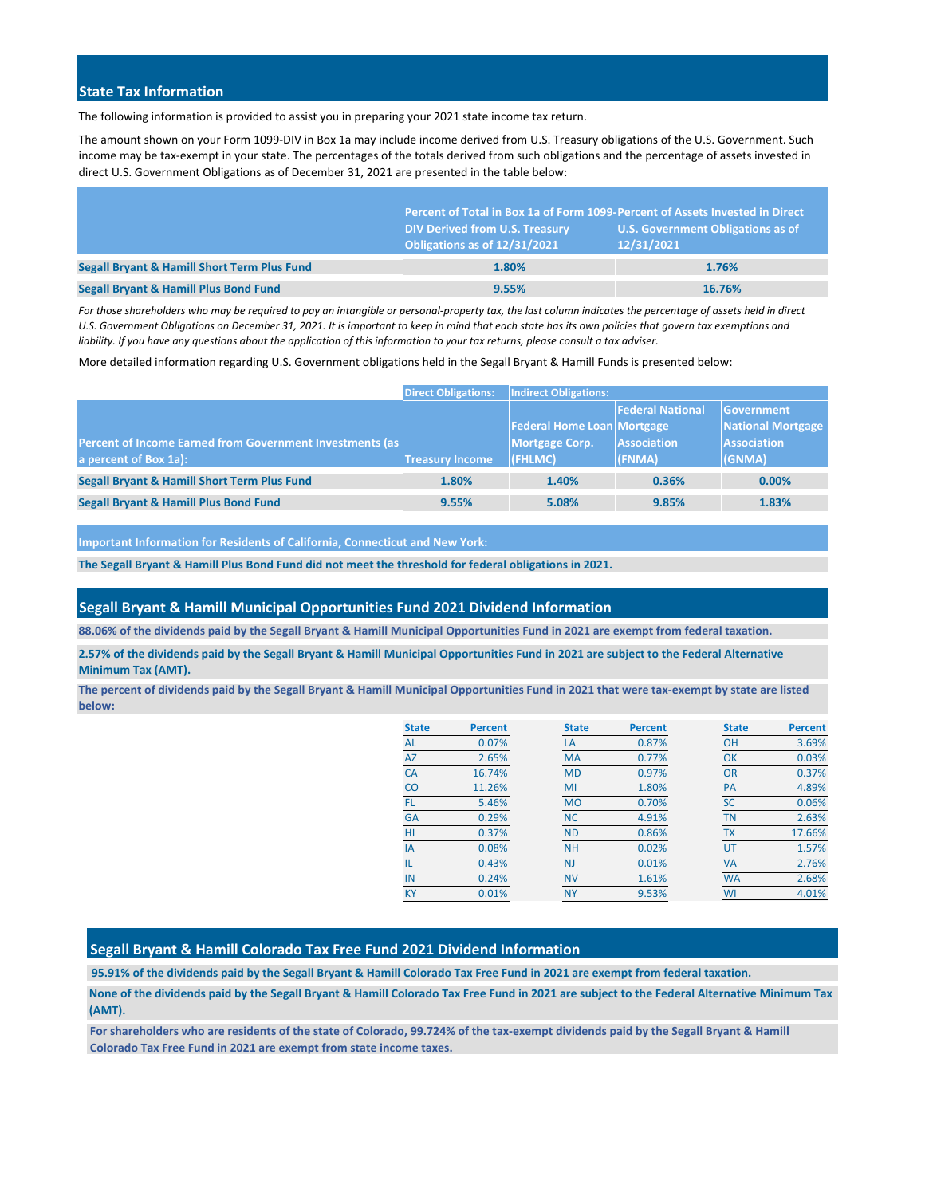### **State Tax Information**

The following information is provided to assist you in preparing your 2021 state income tax return.

The amount shown on your Form 1099-DIV in Box 1a may include income derived from U.S. Treasury obligations of the U.S. Government. Such income may be tax-exempt in your state. The percentages of the totals derived from such obligations and the percentage of assets invested in direct U.S. Government Obligations as of December 31, 2021 are presented in the table below:

|                                                        | Percent of Total in Box 1a of Form 1099-Percent of Assets Invested in Direct |                                                        |  |
|--------------------------------------------------------|------------------------------------------------------------------------------|--------------------------------------------------------|--|
|                                                        | <b>DIV Derived from U.S. Treasury</b><br>Obligations as of 12/31/2021        | <b>U.S. Government Obligations as of</b><br>12/31/2021 |  |
| <b>Segall Bryant &amp; Hamill Short Term Plus Fund</b> | 1.80%                                                                        | 1.76%                                                  |  |
| <b>Segall Bryant &amp; Hamill Plus Bond Fund</b>       | 9.55%                                                                        | 16.76%                                                 |  |

*For those shareholders who may be required to pay an intangible or personal-property tax, the last column indicates the percentage of assets held in direct U.S. Government Obligations on December 31, 2021. It is important to keep in mind that each state has its own policies that govern tax exemptions and liability. If you have any questions about the application of this information to your tax returns, please consult a tax adviser.*

More detailed information regarding U.S. Government obligations held in the Segall Bryant & Hamill Funds is presented below:

|                                                                                   | <b>Direct Obligations:</b> | <b>Indirect Obligations:</b>                                          |                                                  |                                                                               |
|-----------------------------------------------------------------------------------|----------------------------|-----------------------------------------------------------------------|--------------------------------------------------|-------------------------------------------------------------------------------|
| Percent of Income Earned from Government Investments (as<br>a percent of Box 1a): | <b>Treasury Income</b>     | <b>Federal Home Loan Mortgage</b><br><b>Mortgage Corp.</b><br>(FHLMC) | <b>Federal National</b><br>Association<br>(FNMA) | <b>Government</b><br><b>National Mortgage</b><br><b>Association</b><br>(GNMA) |
| <b>Segall Bryant &amp; Hamill Short Term Plus Fund</b>                            | 1.80%                      | 1.40%                                                                 | 0.36%                                            | $0.00\%$                                                                      |
| <b>Segall Bryant &amp; Hamill Plus Bond Fund</b>                                  | 9.55%                      | 5.08%                                                                 | 9.85%                                            | 1.83%                                                                         |

**Important Information for Residents of California, Connecticut and New York:**

**The Segall Bryant & Hamill Plus Bond Fund did not meet the threshold for federal obligations in 2021.**

#### **Segall Bryant & Hamill Municipal Opportunities Fund 2021 Dividend Information**

**88.06% of the dividends paid by the Segall Bryant & Hamill Municipal Opportunities Fund in 2021 are exempt from federal taxation.**

**2.57% of the dividends paid by the Segall Bryant & Hamill Municipal Opportunities Fund in 2021 are subject to the Federal Alternative Minimum Tax (AMT).**

**The percent of dividends paid by the Segall Bryant & Hamill Municipal Opportunities Fund in 2021 that were tax-exempt by state are listed below:**

| <b>State</b> | <b>Percent</b> | <b>State</b> | <b>Percent</b> | <b>State</b> | <b>Percent</b> |
|--------------|----------------|--------------|----------------|--------------|----------------|
| <b>AL</b>    | 0.07%          | LA           | 0.87%          | OH           | 3.69%          |
| <b>AZ</b>    | 2.65%          | <b>MA</b>    | 0.77%          | OK           | 0.03%          |
| <b>CA</b>    | 16.74%         | <b>MD</b>    | 0.97%          | <b>OR</b>    | 0.37%          |
| CO           | 11.26%         | MI           | 1.80%          | <b>PA</b>    | 4.89%          |
| FL           | 5.46%          | <b>MO</b>    | 0.70%          | <b>SC</b>    | 0.06%          |
| <b>GA</b>    | 0.29%          | <b>NC</b>    | 4.91%          | <b>TN</b>    | 2.63%          |
| HI           | 0.37%          | <b>ND</b>    | 0.86%          | <b>TX</b>    | 17.66%         |
| IA           | 0.08%          | <b>NH</b>    | 0.02%          | UT           | 1.57%          |
| IL           | 0.43%          | <b>NJ</b>    | 0.01%          | <b>VA</b>    | 2.76%          |
| IN           | 0.24%          | <b>NV</b>    | 1.61%          | <b>WA</b>    | 2.68%          |
| <b>KY</b>    | 0.01%          | <b>NY</b>    | 9.53%          | WI           | 4.01%          |

### **Segall Bryant & Hamill Colorado Tax Free Fund 2021 Dividend Information**

**95.91% of the dividends paid by the Segall Bryant & Hamill Colorado Tax Free Fund in 2021 are exempt from federal taxation.**

**None of the dividends paid by the Segall Bryant & Hamill Colorado Tax Free Fund in 2021 are subject to the Federal Alternative Minimum Tax (AMT).**

**For shareholders who are residents of the state of Colorado, 99.724% of the tax-exempt dividends paid by the Segall Bryant & Hamill Colorado Tax Free Fund in 2021 are exempt from state income taxes.**